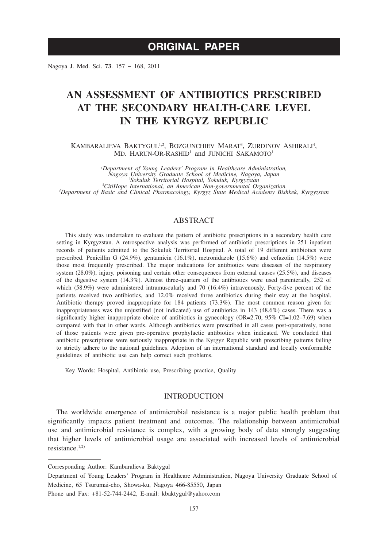Nagoya J. Med. Sci. **73**. 157 ~ 168, 2011

# **AN ASSESSMENT OF ANTIBIOTICS PRESCRIBED AT THE SECONDARY HEALTH-CARE LEVEL IN THE KYRGYZ REPUBLIC**

KAMBARALIEVA BAKTYGUL<sup>1,2</sup>, BOZGUNCHIEV MARAT<sup>3</sup>, ZURDINOV ASHIRALI<sup>4</sup>, MD. HARUN-OR-RASHID<sup>1</sup> and JUNICHI SAKAMOTO<sup>1</sup>

*Poepartment of Young Leaders' Program in Healthcare Administration,*<br>Nagoya University Graduate School of Medicine, Nagoya, Japan<br><sup>2</sup> Sokuluk Territorial Hospital, Sokuluk, Kyrgyzstan<br><sup>3</sup> CitiHone International an America *CitiHope International, an American Non-governmental Organization <sup>4</sup> Department of Basic and Clinical Pharmacology, Kyrgyz State Medical Academy Bishkek, Kyrgyzstan*

# ABSTRACT

This study was undertaken to evaluate the pattern of antibiotic prescriptions in a secondary health care setting in Kyrgyzstan. A retrospective analysis was performed of antibiotic prescriptions in 251 inpatient records of patients admitted to the Sokuluk Territorial Hospital. A total of 19 different antibiotics were prescribed. Penicillin G (24.9%), gentamicin (16.1%), metronidazole (15.6%) and cefazolin (14.5%) were those most frequently prescribed. The major indications for antibiotics were diseases of the respiratory system (28.0%), injury, poisoning and certain other consequences from external causes (25.5%), and diseases of the digestive system (14.3%). Almost three-quarters of the antibiotics were used parenterally, 252 of which (58.9%) were administered intramuscularly and 70 (16.4%) intravenously. Forty-five percent of the patients received two antibiotics, and 12.0% received three antibiotics during their stay at the hospital. Antibiotic therapy proved inappropriate for 184 patients (73.3%). The most common reason given for inappropriateness was the unjustified (not indicated) use of antibiotics in 143 (48.6%) cases. There was a significantly higher inappropriate choice of antibiotics in gynecology (OR=2.70, 95% CI=1.02-7.69) when compared with that in other wards. Although antibiotics were prescribed in all cases post-operatively, none of those patients were given pre-operative prophylactic antibiotics when indicated. We concluded that antibiotic prescriptions were seriously inappropriate in the Kyrgyz Republic with prescribing patterns failing to strictly adhere to the national guidelines. Adoption of an international standard and locally conformable guidelines of antibiotic use can help correct such problems.

Key Words: Hospital, Antibiotic use, Prescribing practice, Quality

## **INTRODUCTION**

The worldwide emergence of antimicrobial resistance is a major public health problem that significantly impacts patient treatment and outcomes. The relationship between antimicrobial use and antimicrobial resistance is complex, with a growing body of data strongly suggesting that higher levels of antimicrobial usage are associated with increased levels of antimicrobial resistance.1,2)

Corresponding Author: Kambaralieva Baktygul

Department of Young Leaders' Program in Healthcare Administration, Nagoya University Graduate School of Medicine, 65 Tsurumai-cho, Showa-ku, Nagoya 466-85550, Japan

Phone and Fax: +81-52-744-2442, E-mail: kbaktygul@yahoo.com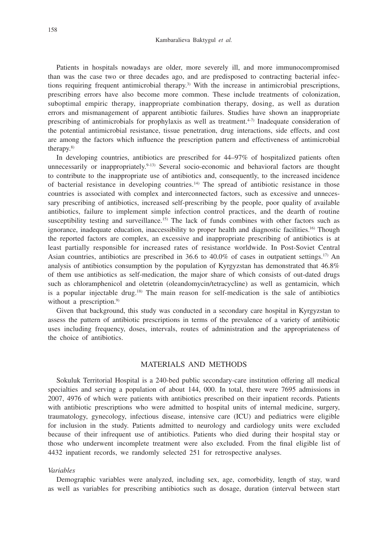Patients in hospitals nowadays are older, more severely ill, and more immunocompromised than was the case two or three decades ago, and are predisposed to contracting bacterial infections requiring frequent antimicrobial therapy.3) With the increase in antimicrobial prescriptions, prescribing errors have also become more common. These include treatments of colonization, suboptimal empiric therapy, inappropriate combination therapy, dosing, as well as duration errors and mismanagement of apparent antibiotic failures. Studies have shown an inappropriate prescribing of antimicrobials for prophylaxis as well as treatment.<sup>4-7)</sup> Inadequate consideration of the potential antimicrobial resistance, tissue penetration, drug interactions, side effects, and cost are among the factors which influence the prescription pattern and effectiveness of antimicrobial therapy.8)

In developing countries, antibiotics are prescribed for 44–97% of hospitalized patients often unnecessarily or inappropriately.<sup>9-13)</sup> Several socio-economic and behavioral factors are thought to contribute to the inappropriate use of antibiotics and, consequently, to the increased incidence of bacterial resistance in developing countries.14) The spread of antibiotic resistance in those countries is associated with complex and interconnected factors, such as excessive and unnecessary prescribing of antibiotics, increased self-prescribing by the people, poor quality of available antibiotics, failure to implement simple infection control practices, and the dearth of routine susceptibility testing and surveillance.<sup>15)</sup> The lack of funds combines with other factors such as ignorance, inadequate education, inaccessibility to proper health and diagnostic facilities.<sup>16)</sup> Though the reported factors are complex, an excessive and inappropriate prescribing of antibiotics is at least partially responsible for increased rates of resistance worldwide. In Post-Soviet Central Asian countries, antibiotics are prescribed in 36.6 to 40.0% of cases in outpatient settings.<sup>17)</sup> An analysis of antibiotics consumption by the population of Kyrgyzstan has demonstrated that 46.8% of them use antibiotics as self-medication, the major share of which consists of out-dated drugs such as chloramphenicol and oletetrin (oleandomycin/tetracycline) as well as gentamicin, which is a popular injectable drug.<sup>18)</sup> The main reason for self-medication is the sale of antibiotics without a prescription.<sup>9)</sup>

Given that background, this study was conducted in a secondary care hospital in Kyrgyzstan to assess the pattern of antibiotic prescriptions in terms of the prevalence of a variety of antibiotic uses including frequency, doses, intervals, routes of administration and the appropriateness of the choice of antibiotics.

## MATERIALS AND METHODS

Sokuluk Territorial Hospital is a 240-bed public secondary-care institution offering all medical specialties and serving a population of about 144, 000. In total, there were 7695 admissions in 2007, 4976 of which were patients with antibiotics prescribed on their inpatient records. Patients with antibiotic prescriptions who were admitted to hospital units of internal medicine, surgery, traumatology, gynecology, infectious disease, intensive care (ICU) and pediatrics were eligible for inclusion in the study. Patients admitted to neurology and cardiology units were excluded because of their infrequent use of antibiotics. Patients who died during their hospital stay or those who underwent incomplete treatment were also excluded. From the final eligible list of 4432 inpatient records, we randomly selected 251 for retrospective analyses.

#### *Variables*

Demographic variables were analyzed, including sex, age, comorbidity, length of stay, ward as well as variables for prescribing antibiotics such as dosage, duration (interval between start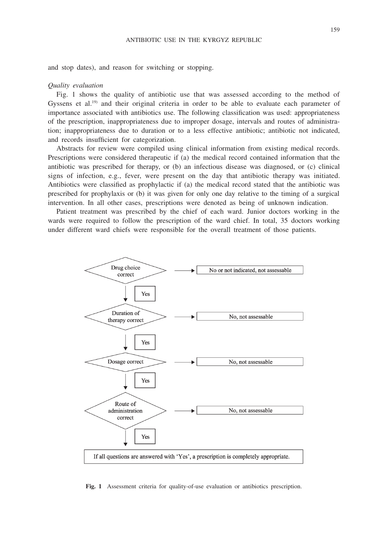and stop dates), and reason for switching or stopping.

#### *Quality evaluation*

Fig. 1 shows the quality of antibiotic use that was assessed according to the method of Gyssens et al.<sup>19)</sup> and their original criteria in order to be able to evaluate each parameter of importance associated with antibiotics use. The following classification was used: appropriateness of the prescription, inappropriateness due to improper dosage, intervals and routes of administration; inappropriateness due to duration or to a less effective antibiotic; antibiotic not indicated, and records insufficient for categorization.

Abstracts for review were compiled using clinical information from existing medical records. Prescriptions were considered therapeutic if (a) the medical record contained information that the antibiotic was prescribed for therapy, or (b) an infectious disease was diagnosed, or (c) clinical signs of infection, e.g., fever, were present on the day that antibiotic therapy was initiated. Antibiotics were classified as prophylactic if (a) the medical record stated that the antibiotic was prescribed for prophylaxis or (b) it was given for only one day relative to the timing of a surgical intervention. In all other cases, prescriptions were denoted as being of unknown indication.

Patient treatment was prescribed by the chief of each ward. Junior doctors working in the wards were required to follow the prescription of the ward chief. In total, 35 doctors working under different ward chiefs were responsible for the overall treatment of those patients.



**Fig. 1** Assessment criteria for quality-of-use evaluation or antibiotics prescription.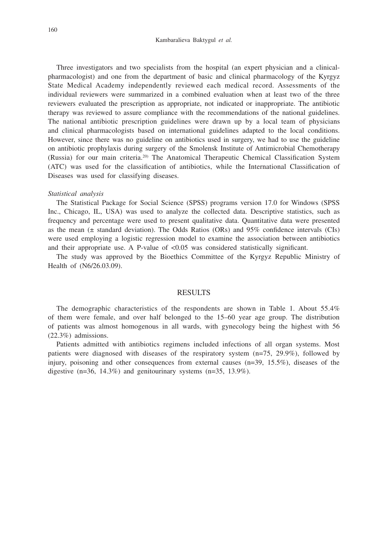Three investigators and two specialists from the hospital (an expert physician and a clinicalpharmacologist) and one from the department of basic and clinical pharmacology of the Kyrgyz State Medical Academy independently reviewed each medical record. Assessments of the individual reviewers were summarized in a combined evaluation when at least two of the three reviewers evaluated the prescription as appropriate, not indicated or inappropriate. The antibiotic therapy was reviewed to assure compliance with the recommendations of the national guidelines. The national antibiotic prescription guidelines were drawn up by a local team of physicians and clinical pharmacologists based on international guidelines adapted to the local conditions. However, since there was no guideline on antibiotics used in surgery, we had to use the guideline on antibiotic prophylaxis during surgery of the Smolensk Institute of Antimicrobial Chemotherapy (Russia) for our main criteria.20) The Anatomical Therapeutic Chemical Classification System (ATC) was used for the classification of antibiotics, while the International Classification of Diseases was used for classifying diseases.

#### *Statistical analysis*

The Statistical Package for Social Science (SPSS) programs version 17.0 for Windows (SPSS Inc., Chicago, IL, USA) was used to analyze the collected data. Descriptive statistics, such as frequency and percentage were used to present qualitative data. Quantitative data were presented as the mean ( $\pm$  standard deviation). The Odds Ratios (ORs) and 95% confidence intervals (CIs) were used employing a logistic regression model to examine the association between antibiotics and their appropriate use. A P-value of <0.05 was considered statistically significant.

The study was approved by the Bioethics Committee of the Kyrgyz Republic Ministry of Health of (N6/26.03.09).

## RESULTS

The demographic characteristics of the respondents are shown in Table 1. About 55.4% of them were female, and over half belonged to the 15–60 year age group. The distribution of patients was almost homogenous in all wards, with gynecology being the highest with 56 (22.3%) admissions.

Patients admitted with antibiotics regimens included infections of all organ systems. Most patients were diagnosed with diseases of the respiratory system (n=75, 29.9%), followed by injury, poisoning and other consequences from external causes  $(n=39, 15.5\%)$ , diseases of the digestive  $(n=36, 14.3\%)$  and genitourinary systems  $(n=35, 13.9\%)$ .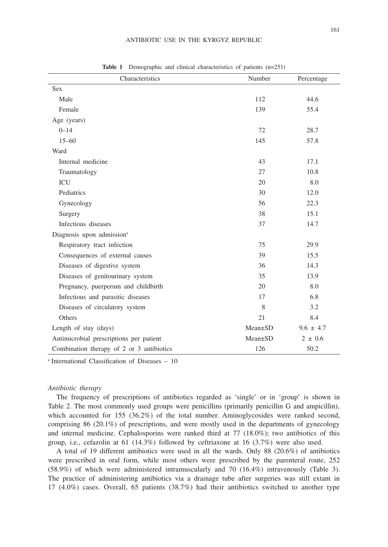| Characteristics                           | Number        | Percentage    |
|-------------------------------------------|---------------|---------------|
| <b>Sex</b>                                |               |               |
| Male                                      | 112           | 44.6          |
| Female                                    | 139           | 55.4          |
| Age (years)                               |               |               |
| $0 - 14$                                  | 72            | 28.7          |
| $15 - 60$                                 | 145           | 57.8          |
| Ward                                      |               |               |
| Internal medicine                         | 43            | 17.1          |
| Traumatology                              | 27            | 10.8          |
| <b>ICU</b>                                | 20            | 8.0           |
| Pediatrics                                | 30            | 12.0          |
| Gynecology                                | 56            | 22.3          |
| Surgery                                   | 38            | 15.1          |
| Infectious diseases                       | 37            | 14.7          |
| Diagnosis upon admission <sup>a</sup>     |               |               |
| Respiratory tract infection               | 75            | 29.9          |
| Consequences of external causes           | 39            | 15.5          |
| Diseases of digestive system              | 36            | 14.3          |
| Diseases of genitourinary system          | 35            | 13.9          |
| Pregnancy, puerperum and childbirth       | 20            | 8.0           |
| Infectious and parasitic diseases         | 17            | 6.8           |
| Diseases of circulatory system            | 8             | 3.2           |
| Others                                    | 21            | 8.4           |
| Length of stay (days)                     | $Mean \pm SD$ | $9.6 \pm 4.7$ |
| Antimicrobial prescriptions per patient   | $Mean \pm SD$ | $2 \pm 0.6$   |
| Combination therapy of 2 or 3 antibiotics | 126           | 50.2          |

**Table 1** Demographic and clinical characteristics of patients (n=251)

a International Classification of Diseases – 10

#### *Antibiotic therapy*

The frequency of prescriptions of antibiotics regarded as 'single' or in 'group' is shown in Table 2. The most commonly used groups were penicillins (primarily penicillin G and ampicillin), which accounted for 155 (36.2%) of the total number. Aminoglycosides were ranked second, comprising 86 (20.1%) of prescriptions, and were mostly used in the departments of gynecology and internal medicine. Cephalosporins were ranked third at 77 (18.0%); two antibiotics of this group, i.e., cefazolin at 61 (14.3%) followed by ceftriaxone at 16 (3.7%) were also used.

A total of 19 different antibiotics were used in all the wards. Only 88 (20.6%) of antibiotics were prescribed in oral form, while most others were prescribed by the parenteral route, 252 (58.9%) of which were administered intramuscularly and 70 (16.4%) intravenously (Table 3). The practice of administering antibiotics via a drainage tube after surgeries was still extant in 17 (4.0%) cases. Overall, 65 patients (38.7%) had their antibiotics switched to another type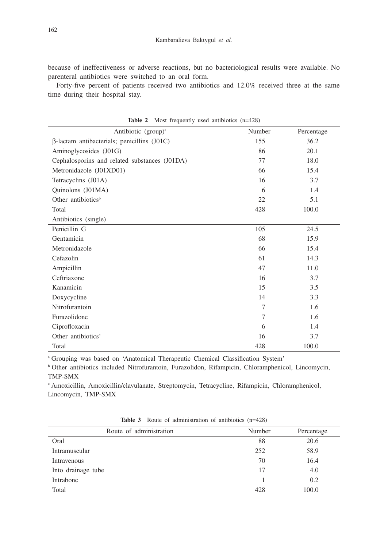because of ineffectiveness or adverse reactions, but no bacteriological results were available. No parenteral antibiotics were switched to an oral form.

Forty-five percent of patients received two antibiotics and 12.0% received three at the same time during their hospital stay.

| Antibiotic (group) <sup>a</sup>                    | Number | Percentage |
|----------------------------------------------------|--------|------------|
| $\beta$ -lactam antibacterials; penicillins (J01C) | 155    | 36.2       |
| Aminoglycosides (J01G)                             | 86     | 20.1       |
| Cephalosporins and related substances (J01DA)      | 77     | 18.0       |
| Metronidazole (J01XD01)                            | 66     | 15.4       |
| Tetracyclins (J01A)                                | 16     | 3.7        |
| Quinolons (J01MA)                                  | 6      | 1.4        |
| Other antibiotics <sup>b</sup>                     | 22     | 5.1        |
| Total                                              | 428    | 100.0      |
| Antibiotics (single)                               |        |            |
| Penicillin G                                       | 105    | 24.5       |
| Gentamicin                                         | 68     | 15.9       |
| Metronidazole                                      | 66     | 15.4       |
| Cefazolin                                          | 61     | 14.3       |
| Ampicillin                                         | 47     | 11.0       |
| Ceftriaxone                                        | 16     | 3.7        |
| Kanamicin                                          | 15     | 3.5        |
| Doxycycline                                        | 14     | 3.3        |
| Nitrofurantoin                                     | 7      | 1.6        |
| Furazolidone                                       | 7      | 1.6        |
| Ciprofloxacin                                      | 6      | 1.4        |
| Other antibiotics <sup>c</sup>                     | 16     | 3.7        |
| Total                                              | 428    | 100.0      |

Table 2 Most frequently used antibiotics (n=428)

a Grouping was based on 'Anatomical Therapeutic Chemical Classification System'

b Other antibiotics included Nitrofurantoin, Furazolidon, Rifampicin, Chloramphenicol, Lincomycin, TMP-SMX

c Amoxicillin, Amoxicillin/clavulanate, Streptomycin, Tetracycline, Rifampicin, Chloramphenicol, Lincomycin, TMP-SMX

| Route of administration | Number | Percentage |
|-------------------------|--------|------------|
| Oral                    | 88     | 20.6       |
| Intramuscular           | 252    | 58.9       |
| Intravenous             | 70     | 16.4       |
| Into drainage tube      | 17     | 4.0        |
| Intrabone               |        | 0.2        |
| Total                   | 428    | 100.0      |

**Table 3** Route of administration of antibiotics (n=428)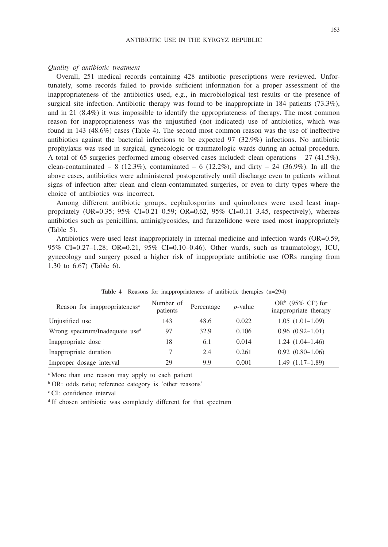#### *Quality of antibiotic treatment*

Overall, 251 medical records containing 428 antibiotic prescriptions were reviewed. Unfortunately, some records failed to provide sufficient information for a proper assessment of the inappropriateness of the antibiotics used, e.g., in microbiological test results or the presence of surgical site infection. Antibiotic therapy was found to be inappropriate in 184 patients (73.3%), and in 21 (8.4%) it was impossible to identify the appropriateness of therapy. The most common reason for inappropriateness was the unjustified (not indicated) use of antibiotics, which was found in 143 (48.6%) cases (Table 4). The second most common reason was the use of ineffective antibiotics against the bacterial infections to be expected 97 (32.9%) infections. No antibiotic prophylaxis was used in surgical, gynecologic or traumatologic wards during an actual procedure. A total of 65 surgeries performed among observed cases included: clean operations  $-27$  (41.5%), clean-contaminated – 8 (12.3%), contaminated – 6 (12.2%), and dirty – 24 (36.9%). In all the above cases, antibiotics were administered postoperatively until discharge even to patients without signs of infection after clean and clean-contaminated surgeries, or even to dirty types where the choice of antibiotics was incorrect.

Among different antibiotic groups, cephalosporins and quinolones were used least inappropriately (OR=0.35; 95% CI=0.21–0.59; OR=0.62, 95% CI=0.11–3.45, respectively), whereas antibiotics such as penicillins, aminiglycosides, and furazolidone were used most inappropriately (Table 5).

Antibiotics were used least inappropriately in internal medicine and infection wards (OR=0.59, 95% CI=0.27–1.28; OR=0.21, 95% CI=0.10–0.46). Other wards, such as traumatology, ICU, gynecology and surgery posed a higher risk of inappropriate antibiotic use (ORs ranging from 1.30 to 6.67) (Table 6).

| Reason for inappropriateness <sup>a</sup> | Number of<br>patients | Percentage | $p$ -value | OR <sup>b</sup> (95% CI <sup>c</sup> ) for<br>inappropriate therapy |
|-------------------------------------------|-----------------------|------------|------------|---------------------------------------------------------------------|
| Unjustified use                           | 143                   | 48.6       | 0.022      | $1.05(1.01-1.09)$                                                   |
| Wrong spectrum/Inadequate used            | 97                    | 32.9       | 0.106      | $0.96(0.92 - 1.01)$                                                 |
| Inappropriate dose                        | 18                    | 6.1        | 0.014      | $1.24(1.04-1.46)$                                                   |
| Inappropriate duration                    |                       | 2.4        | 0.261      | $0.92(0.80-1.06)$                                                   |
| Improper dosage interval                  | 29                    | 9.9        | 0.001      | $1.49(1.17-1.89)$                                                   |

**Table 4** Reasons for inappropriateness of antibiotic therapies (n=294)

<sup>a</sup> More than one reason may apply to each patient

b OR: odds ratio; reference category is 'other reasons'

c CI: confidence interval

<sup>d</sup> If chosen antibiotic was completely different for that spectrum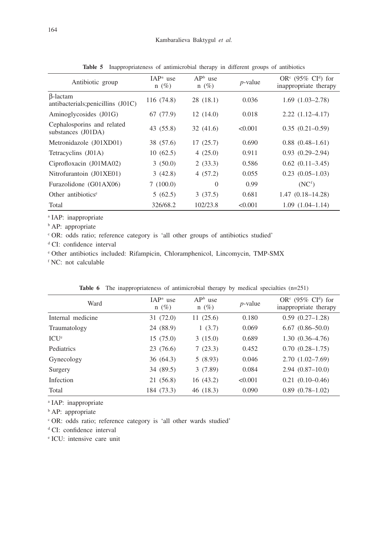| Antibiotic group                                       | $IAPa$ use<br>$n(\%)$ | $APb$ use<br>$n(\%)$ | $p$ -value | OR <sup>c</sup> (95% CI <sup>d</sup> ) for<br>inappropriate therapy |
|--------------------------------------------------------|-----------------------|----------------------|------------|---------------------------------------------------------------------|
| <b>B</b> -lactam<br>antibacterials; penicillins (J01C) | 116 (74.8)            | 28 (18.1)            | 0.036      | $1.69(1.03-2.78)$                                                   |
| Aminoglycosides (J01G)                                 | 67 (77.9)             | 12(14.0)             | 0.018      | $2.22(1.12 - 4.17)$                                                 |
| Cephalosporins and related<br>substances (J01DA)       | 43 (55.8)             | 32(41.6)             | < 0.001    | $0.35(0.21-0.59)$                                                   |
| Metronidazole (J01XD01)                                | 38 (57.6)             | 17(25.7)             | 0.690      | $0.88(0.48-1.61)$                                                   |
| Tetracyclins (J01A)                                    | 10(62.5)              | 4(25.0)              | 0.911      | $0.93(0.29-2.94)$                                                   |
| Ciprofloxacin (J01MA02)                                | 3(50.0)               | 2(33.3)              | 0.586      | $0.62$ $(0.11 - 3.45)$                                              |
| Nitrofurantoin (J01XE01)                               | 3(42.8)               | 4(57.2)              | 0.055      | $0.23(0.05-1.03)$                                                   |
| Furazolidone (G01AX06)                                 | 7(100.0)              | $\Omega$             | 0.99       | (NC <sup>f</sup> )                                                  |
| Other antibiotics <sup>e</sup>                         | 5(62.5)               | 3(37.5)              | 0.681      | $1.47(0.18 - 14.28)$                                                |
| Total                                                  | 326/68.2              | 102/23.8             | < 0.001    | $1.09(1.04-1.14)$                                                   |

**Table 5** Inappropriateness of antimicrobial therapy in different groups of antibiotics

<sup>a</sup> IAP: inappropriate

**b** AP: appropriate

c OR: odds ratio; reference category is 'all other groups of antibiotics studied'

<sup>d</sup> CI: confidence interval

e Other antibiotics included: Rifampicin, Chloramphenicol, Lincomycin, TMP-SMX

<sup>f</sup> NC: not calculable

| <b>Table 6</b> The inappropriateness of antimicrobial therapy by medical specialties $(n=251)$ |  |
|------------------------------------------------------------------------------------------------|--|
|------------------------------------------------------------------------------------------------|--|

| Ward              | $IAPa$ use<br>$n(\%)$ | $APb$ use<br>$n(\%)$ | $p$ -value | OR <sup>c</sup> (95% CI <sup>d</sup> ) for<br>inappropriate therapy |
|-------------------|-----------------------|----------------------|------------|---------------------------------------------------------------------|
| Internal medicine | 31(72.0)              | 11(25.6)             | 0.180      | $0.59(0.27-1.28)$                                                   |
| Traumatology      | 24 (88.9)             | 1(3.7)               | 0.069      | $6.67(0.86 - 50.0)$                                                 |
| ICU <sup>e</sup>  | 15(75.0)              | 3(15.0)              | 0.689      | $1.30(0.36-4.76)$                                                   |
| Pediatrics        | 23 (76.6)             | 7(23.3)              | 0.452      | $0.70(0.28-1.75)$                                                   |
| Gynecology        | 36(64.3)              | 5(8.93)              | 0.046      | $2.70(1.02 - 7.69)$                                                 |
| Surgery           | 34 (89.5)             | 3(7.89)              | 0.084      | $2.94(0.87-10.0)$                                                   |
| Infection         | 21 (56.8)             | 16(43.2)             | < 0.001    | $0.21(0.10-0.46)$                                                   |
| Total             | 184 (73.3)            | 46 (18.3)            | 0.090      | $0.89(0.78-1.02)$                                                   |

a IAP: inappropriate

**b** AP: appropriate

c OR: odds ratio; reference category is 'all other wards studied'

<sup>d</sup> CI: confidence interval

e ICU: intensive care unit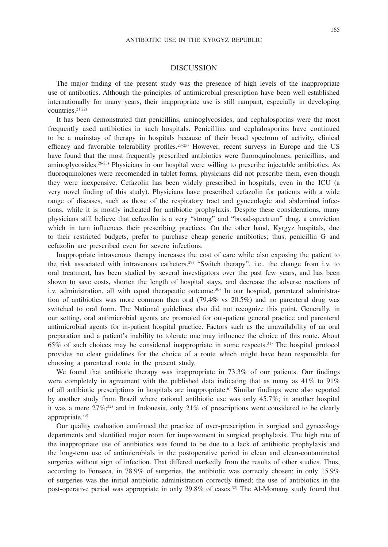## 165

## DISCUSSION

The major finding of the present study was the presence of high levels of the inappropriate use of antibiotics. Although the principles of antimicrobial prescription have been well established internationally for many years, their inappropriate use is still rampant, especially in developing countries. $21,222$ 

It has been demonstrated that penicillins, aminoglycosides, and cephalosporins were the most frequently used antibiotics in such hospitals. Penicillins and cephalosporins have continued to be a mainstay of therapy in hospitals because of their broad spectrum of activity, clinical efficacy and favorable tolerability profiles.<sup>23-25</sup> However, recent surveys in Europe and the US have found that the most frequently prescribed antibiotics were fluoroquinolones, penicillins, and aminoglycosides.<sup>26-28)</sup> Physicians in our hospital were willing to prescribe injectable antibiotics. As fluoroquinolones were recomended in tablet forms, physicians did not prescribe them, even though they were inexpensive. Cefazolin has been widely prescribed in hospitals, even in the ICU (a very novel finding of this study). Physicians have prescribed cefazolin for patients with a wide range of diseases, such as those of the respiratory tract and gynecologic and abdominal infections, while it is mostly indicated for antibiotic prophylaxis. Despite these considerations, many physicians still believe that cefazolin is a very "strong" and "broad-spectrum" drug, a conviction which in turn influences their prescribing practices. On the other hand, Kyrgyz hospitals, due to their restricted budgets, prefer to purchase cheap generic antibiotics; thus, penicillin G and cefazolin are prescribed even for severe infections.

Inappropriate intravenous therapy increases the cost of care while also exposing the patient to the risk associated with intravenous catheters.29) "Switch therapy", i.e., the change from i.v. to oral treatment, has been studied by several investigators over the past few years, and has been shown to save costs, shorten the length of hospital stays, and decrease the adverse reactions of i.v. administration, all with equal therapeutic outcome.30) In our hospital, parenteral administration of antibiotics was more common then oral (79.4% vs 20.5%) and no parenteral drug was switched to oral form. The National guidelines also did not recognize this point. Generally, in our setting, oral antimicrobial agents are promoted for out-patient general practice and parenteral antimicrobial agents for in-patient hospital practice. Factors such as the unavailability of an oral preparation and a patient's inability to tolerate one may influence the choice of this route. About 65% of such choices may be considered inappropriate in some respects.31) The hospital protocol provides no clear guidelines for the choice of a route which might have been responsible for choosing a parenteral route in the present study.

We found that antibiotic therapy was inappropriate in 73.3% of our patients. Our findings were completely in agreement with the published data indicating that as many as 41% to 91% of all antibiotic prescriptions in hospitals are inappropriate.6) Similar findings were also reported by another study from Brazil where rational antibiotic use was only 45.7%; in another hospital it was a mere  $27\%$ ;<sup>32</sup>) and in Indonesia, only 21% of prescriptions were considered to be clearly appropriate.<sup>33)</sup>

Our quality evaluation confirmed the practice of over-prescription in surgical and gynecology departments and identified major room for improvement in surgical prophylaxis. The high rate of the inappropriate use of antibiotics was found to be due to a lack of antibiotic prophylaxis and the long-term use of antimicrobials in the postoperative period in clean and clean-contaminated surgeries without sign of infection. That differed markedly from the results of other studies. Thus, according to Fonseca, in 78.9% of surgeries, the antibiotic was correctly chosen; in only 15.9% of surgeries was the initial antibiotic administration correctly timed; the use of antibiotics in the post-operative period was appropriate in only 29.8% of cases.32) The Al-Momany study found that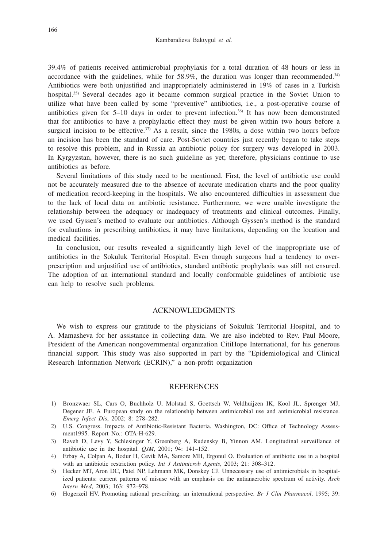39.4% of patients received antimicrobial prophylaxis for a total duration of 48 hours or less in accordance with the guidelines, while for  $58.9\%$ , the duration was longer than recommended.<sup>34)</sup> Antibiotics were both unjustified and inappropriately administered in 19% of cases in a Turkish hospital.35) Several decades ago it became common surgical practice in the Soviet Union to utilize what have been called by some "preventive" antibiotics, i.e., a post-operative course of antibiotics given for  $5-10$  days in order to prevent infection.<sup>36)</sup> It has now been demonstrated that for antibiotics to have a prophylactic effect they must be given within two hours before a surgical incision to be effective.<sup>37)</sup> As a result, since the 1980s, a dose within two hours before an incision has been the standard of care. Post-Soviet countries just recently began to take steps to resolve this problem, and in Russia an antibiotic policy for surgery was developed in 2003. In Kyrgyzstan, however, there is no such guideline as yet; therefore, physicians continue to use antibiotics as before.

Several limitations of this study need to be mentioned. First, the level of antibiotic use could not be accurately measured due to the absence of accurate medication charts and the poor quality of medication record-keeping in the hospitals. We also encountered difficulties in assessment due to the lack of local data on antibiotic resistance. Furthermore, we were unable investigate the relationship between the adequacy or inadequacy of treatments and clinical outcomes. Finally, we used Gyssen's method to evaluate our antibiotics. Although Gyssen's method is the standard for evaluations in prescribing antibiotics, it may have limitations, depending on the location and medical facilities.

In conclusion, our results revealed a significantly high level of the inappropriate use of antibiotics in the Sokuluk Territorial Hospital. Even though surgeons had a tendency to overprescription and unjustified use of antibiotics, standard antibiotic prophylaxis was still not ensured. The adoption of an international standard and locally conformable guidelines of antibiotic use can help to resolve such problems.

## ACKNOWLEDGMENTS

We wish to express our gratitude to the physicians of Sokuluk Territorial Hospital, and to A. Mamasheva for her assistance in collecting data. We are also indebted to Rev. Paul Moore, President of the American nongovernmental organization CitiHope International, for his generous financial support. This study was also supported in part by the "Epidemiological and Clinical Research Information Network (ECRIN)," a non-profit organization

## **REFERENCES**

- 1) Bronzwaer SL, Cars O, Buchholz U, Molstad S, Goettsch W, Veldhuijzen IK, Kool JL, Sprenger MJ, Degener JE. A European study on the relationship between antimicrobial use and antimicrobial resistance. *Emerg Infect Dis*, 2002; 8: 278–282.
- 2) U.S. Congress. Impacts of Antibiotic-Resistant Bacteria. Washington, DC: Office of Technology Assessment1995. Report No.: OTA-H-629.
- 3) Raveh D, Levy Y, Schlesinger Y, Greenberg A, Rudensky B, Yinnon AM. Longitudinal surveillance of antibiotic use in the hospital. *QJM*, 2001; 94: 141–152.
- 4) Erbay A, Colpan A, Bodur H, Cevik MA, Samore MH, Ergonul O. Evaluation of antibiotic use in a hospital with an antibiotic restriction policy. *Int J Antimicrob Agents*, 2003; 21: 308–312.
- 5) Hecker MT, Aron DC, Patel NP, Lehmann MK, Donskey CJ. Unnecessary use of antimicrobials in hospitalized patients: current patterns of misuse with an emphasis on the antianaerobic spectrum of activity. *Arch Intern Med*, 2003; 163: 972–978.
- 6) Hogerzeil HV. Promoting rational prescribing: an international perspective. *Br J Clin Pharmacol*, 1995; 39: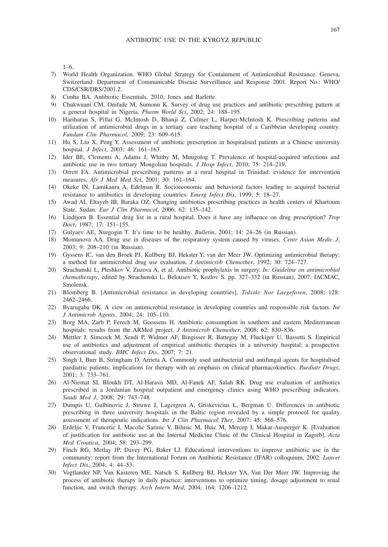1–6.

- 7) World Health Organization. WHO Global Strategy for Containment of Antimicrobial Resistance. Geneva, Switzerland: Department of Communicable Disease Surveillance and Response 2001. Report No.: WHO/ CDS/CSR/DRS/2001.2.
- 8) Cunha BA. Antibiotic Essentials. 2010, Jones and Barlette.
- 9) Chukwuani CM, Onifade M, Sumonu K. Survey of drug use practices and antibiotic prescribing pattern at a general hospital in Nigeria. *Pharm World Sci*, 2002; 24: 188–195.
- 10) Hariharan S, Pillai G, McIntosh D, Bhanji Z, Culmer L, Harper-McIntosh K. Prescribing patterns and utilization of antimicrobial drugs in a tertiary care teaching hospital of a Caribbean developing country. *Fundam Clin Pharmacol*, 2009; 23: 609–615.
- 11) Hu S, Liu X, Peng Y. Assessment of antibiotic prescription in hospitalised patients at a Chinese university hospital. *J Infect*, 2003; 46: 161–163.
- 12) Ider BE, Clements A, Adams J, Whitby M, Muugolog T. Prevalence of hospital-acquired infections and antibiotic use in two tertiary Mongolian hospitals. *J Hosp Infect*, 2010; 75: 214–219.
- 13) Orrett FA. Antimicrobial prescribing patterns at a rural hospital in Trinidad: evidence for intervention measures. *Afr J Med Med Sci*, 2001; 30: 161–164.
- 14) Okeke IN, Lamikanra A, Edelman R. Socioeconomic and behavioral factors leading to acquired bacterial resistance to antibiotics in developing countries. *Emerg Infect Dis*, 1999; 5: 18–27.
- 15) Awad AI, Eltayeb IB, Baraka OZ. Changing antibiotics prescribing practices in health centers of Khartoum State, Sudan. *Eur J Clin Pharmacol*, 2006; 62: 135–142.
- 16) Lindtjorn B. Essential drug list in a rural hospital. Does it have any influence on drug prescription? *Trop Doct*, 1987; 17: 151–155.
- 17) Gulyaev AE, Nurgogin T. It's time to be healthy. *Bulletin*, 2001; 14: 24–26 (in Russian).
- 18) Momunova AA. Drug use in diseases of the respiratory system caused by viruses. *Centr Asian Medic J*, 2003; 9: 208–210 (in Russian).
- 19) Gyssens IC, van den Broek PJ, Kullberg BJ, Hekster Y, van der Meer JW. Optimizing antimicrobial therapy: a method for antimicrobial drug use evaluation. *J Antimicrob Chemother*, 1992; 30: 724–727.
- 20) Strachunski L, Pleshkov V, Zuzova A, et al. Antibiotic prophylaxis in surgery. *In: Guideline on antimicrobial chemotherapy*, edited by Strachunski L, Belousov Y, Kozlov S. pp. 327–332 (in Russian), 2007, IACMAC, Smolensk.
- 21) Blomberg B. [Antimicrobial resistance in developing countries]. *Tidsskr Nor Laegeforen*, 2008; 128: 2462–2466.
- 22) Byarugaba DK. A view on antimicrobial resistance in developing countries and responsible risk factors. *Int J Antimicrob Agents*, 2004; 24: 105–110.
- 23) Borg MA, Zarb P, Ferech M, Goossens H. Antibiotic consumption in southern and eastern Mediterranean hospitals: results from the ARMed project. *J Antimicrob Chemother*, 2008; 62: 830–836.
- 24) Mettler J, Simcock M, Sendi P, Widmer AF, Bingisser R, Battegay M, Fluckiger U, Bassetti S. Empirical use of antibiotics and adjustment of empirical antibiotic therapies in a university hospital: a prospective observational study. *BMC Infect Dis*, 2007; 7: 21.
- 25) Singh J, Burr B, Stringham D, Arrieta A. Commonly used antibacterial and antifungal agents for hospitalised paediatric patients: implications for therapy with an emphasis on clinical pharmacokinetics. *Paediatr Drugs*, 2001; 3: 733–761.
- 26) Al-Niemat SI, Bloukh DT, Al-Harasis MD, Al-Fanek AF, Salah RK. Drug use evaluation of antibiotics prescribed in a Jordanian hospital outpatient and emergency clinics using WHO prescribing indicators. *Saudi Med J*, 2008; 29: 743–748.
- 27) Dumpis U, Gulbinovic J, Struwe J, Lagergren A, Griskevicius L, Bergman U. Differences in antibiotic prescribing in three university hospitals in the Baltic region revealed by a simple protocol for quality assessment of therapeutic indications. *Int J Clin Pharmacol Ther*, 2007; 45: 568–576.
- 28) Erdeljic V, Francetic I, Macolic Sarinic V, Bilusic M, Huic M, Mercep I, Makar-Ausperger K. [Evaluation of justification for antibiotic use at the Internal Medicine Clinic of the Clinical Hospital in Zagreb]. *Acta Med Croatica*, 2004; 58: 293–299.
- 29) Finch RG, Metlay JP, Davey PG, Baker LJ. Educational interventions to improve antibiotic use in the community: report from the International Forum on Antibiotic Resistance (IFAR) colloquium, 2002. *Lancet Infect Dis*, 2004; 4: 44–53.
- 30) Vogtlander NP, Van Kasteren ME, Natsch S, Kullberg BJ, Hekster YA, Van Der Meer JW. Improving the process of antibiotic therapy in daily practice: interventions to optimize timing, dosage adjustment to renal function, and switch therapy. *Arch Intern Med*, 2004; 164: 1206–1212.